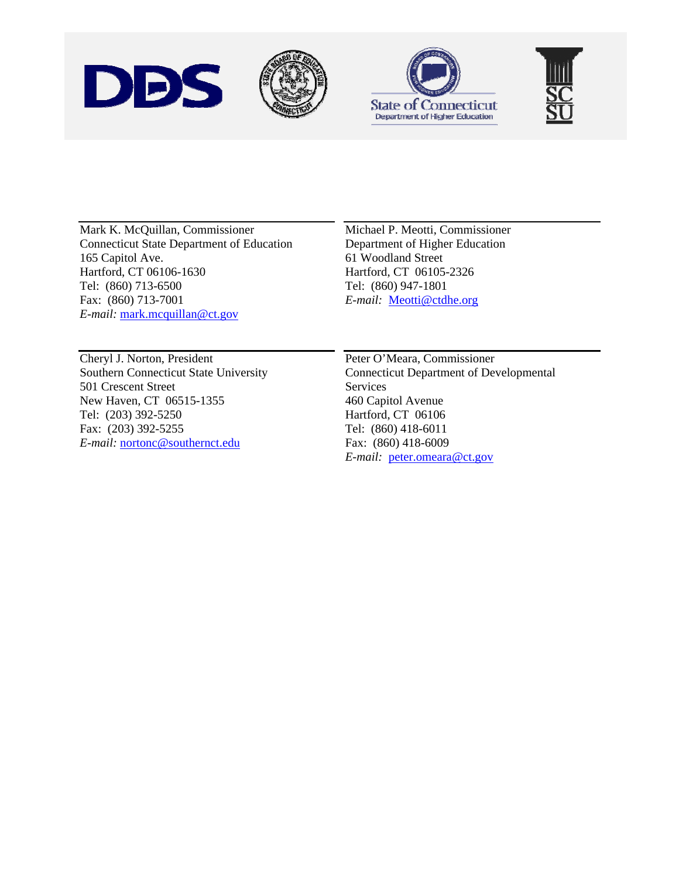





Mark K. McQuillan, Commissioner Connecticut State Department of Education 165 Capitol Ave. Hartford, CT 06106-1630 Tel: (860) 713-6500 Fax: (860) 713-7001 *E-mail:* [mark.mcquillan@ct.gov](mailto:mark.mcquillan@ct.gov)

Michael P. Meotti, Commissioner Department of Higher Education 61 Woodland Street Hartford, CT 06105-2326 Tel: (860) 947-1801 *E-mail:* [Meotti@ctdhe.org](mailto:Meotti@ctdhe.org)

Cheryl J. Norton, President Southern Connecticut State University 501 Crescent Street New Haven, CT 06515-1355 Tel: (203) 392-5250 Fax: (203) 392-5255 *E-mail:* [nortonc@southernct.edu](mailto:nortonc@southernct.edu)

Peter O'Meara, Commissioner Connecticut Department of Developmental Services 460 Capitol Avenue Hartford, CT 06106 Tel: (860) 418-6011 Fax: (860) 418-6009 *E-mail:* [peter.omeara@ct.gov](mailto:peter.omeara@ct.gov)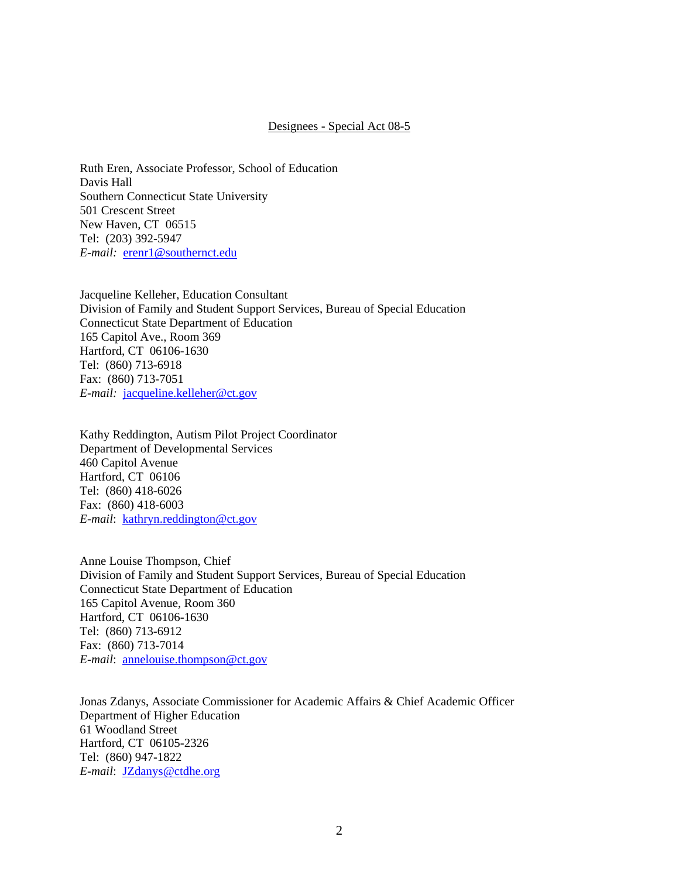## Designees - Special Act 08-5

Ruth Eren, Associate Professor, School of Education Davis Hall Southern Connecticut State University 501 Crescent Street New Haven, CT 06515 Tel: (203) 392-5947 *E-mail:* [erenr1@southernct.edu](mailto:erenr1@southernct.edu)

Jacqueline Kelleher, Education Consultant Division of Family and Student Support Services, Bureau of Special Education Connecticut State Department of Education 165 Capitol Ave., Room 369 Hartford, CT 06106-1630 Tel: (860) 713-6918 Fax: (860) 713-7051 *E-mail:* [jacqueline.kelleher@ct.gov](mailto:jacqueline.kelleher@ct.gov)

Kathy Reddington, Autism Pilot Project Coordinator Department of Developmental Services 460 Capitol Avenue Hartford, CT 06106 Tel: (860) 418-6026 Fax: (860) 418-6003 *E-mail*: [kathryn.reddington@ct.gov](mailto:kathryn.reddington@ct.gov)

Anne Louise Thompson, Chief Division of Family and Student Support Services, Bureau of Special Education Connecticut State Department of Education 165 Capitol Avenue, Room 360 Hartford, CT 06106-1630 Tel: (860) 713-6912 Fax: (860) 713-7014 *E-mail*: [annelouise.thompson@ct.gov](mailto:annelouise.thompson@ct.gov)

Jonas Zdanys, Associate Commissioner for Academic Affairs & Chief Academic Officer Department of Higher Education 61 Woodland Street Hartford, CT 06105-2326 Tel: (860) 947-1822 *E-mail*: [JZdanys@ctdhe.org](mailto:JZdanys@ctdhe.org)